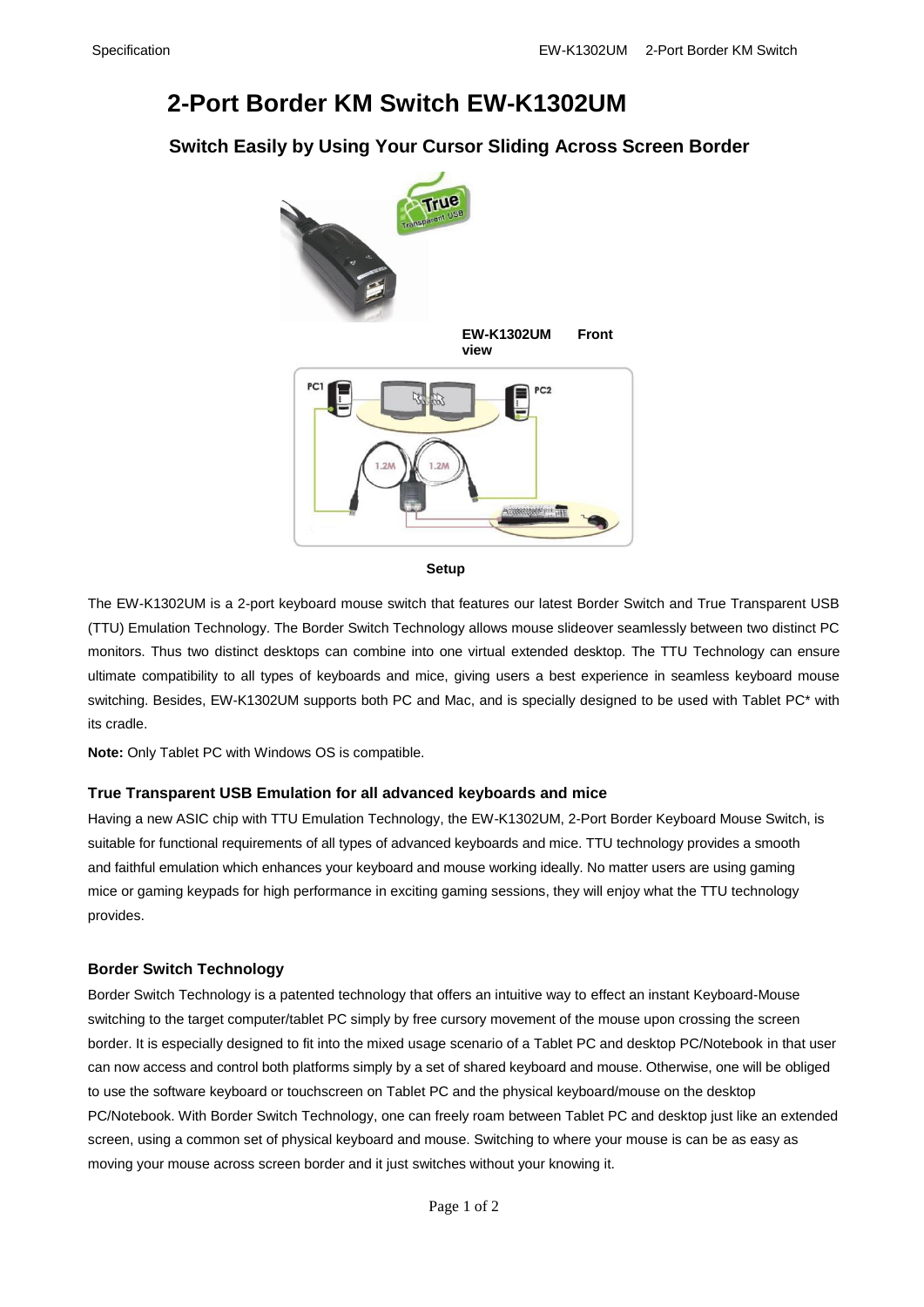# **2-Port Border KM Switch EW-K1302UM**

### **Switch Easily by Using Your Cursor Sliding Across Screen Border**



**Setup**

The EW-K1302UM is a 2-port keyboard mouse switch that features our latest Border Switch and True Transparent USB (TTU) Emulation Technology. The Border Switch Technology allows mouse slideover seamlessly between two distinct PC monitors. Thus two distinct desktops can combine into one virtual extended desktop. The TTU Technology can ensure ultimate compatibility to all types of keyboards and mice, giving users a best experience in seamless keyboard mouse switching. Besides, EW-K1302UM supports both PC and Mac, and is specially designed to be used with Tablet PC\* with its cradle.

**Note:** Only Tablet PC with Windows OS is compatible.

### **True Transparent USB Emulation for all advanced keyboards and mice**

Having a new ASIC chip with TTU Emulation Technology, the EW-K1302UM, 2-Port Border Keyboard Mouse Switch, is suitable for functional requirements of all types of advanced keyboards and mice. TTU technology provides a smooth and faithful emulation which enhances your keyboard and mouse working ideally. No matter users are using gaming mice or gaming keypads for high performance in exciting gaming sessions, they will enjoy what the TTU technology provides.

#### **Border Switch Technology**

Border Switch Technology is a patented technology that offers an intuitive way to effect an instant Keyboard-Mouse switching to the target computer/tablet PC simply by free cursory movement of the mouse upon crossing the screen border. It is especially designed to fit into the mixed usage scenario of a Tablet PC and desktop PC/Notebook in that user can now access and control both platforms simply by a set of shared keyboard and mouse. Otherwise, one will be obliged to use the software keyboard or touchscreen on Tablet PC and the physical keyboard/mouse on the desktop PC/Notebook. With Border Switch Technology, one can freely roam between Tablet PC and desktop just like an extended screen, using a common set of physical keyboard and mouse. Switching to where your mouse is can be as easy as moving your mouse across screen border and it just switches without your knowing it.